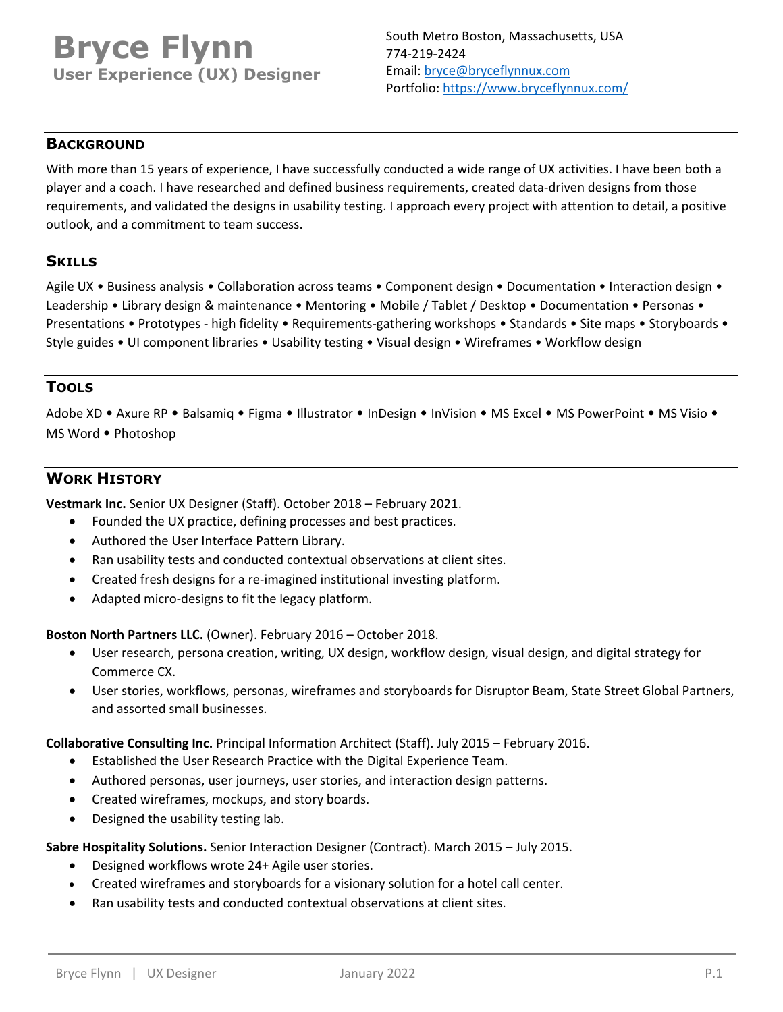# **Bryce Flynn User Experience (UX) Designer**

## **BACKGROUND**

With more than 15 years of experience, I have successfully conducted a wide range of UX activities. I have been both a player and a coach. I have researched and defined business requirements, created data‐driven designs from those requirements, and validated the designs in usability testing. I approach every project with attention to detail, a positive outlook, and a commitment to team success.

## **SKILLS**

Agile UX • Business analysis • Collaboration across teams • Component design • Documentation • Interaction design • Leadership • Library design & maintenance • Mentoring • Mobile / Tablet / Desktop • Documentation • Personas • Presentations • Prototypes ‐ high fidelity • Requirements‐gathering workshops • Standards • Site maps • Storyboards • Style guides • UI component libraries • Usability testing • Visual design • Wireframes • Workflow design

# **TOOLS**

Adobe XD • Axure RP • Balsamiq • Figma • Illustrator • InDesign • InVision • MS Excel • MS PowerPoint • MS Visio • MS Word • Photoshop

# **WORK HISTORY**

**Vestmark Inc.** Senior UX Designer (Staff). October 2018 – February 2021.

- Founded the UX practice, defining processes and best practices.
- Authored the User Interface Pattern Library.
- Ran usability tests and conducted contextual observations at client sites.
- Created fresh designs for a re‐imagined institutional investing platform.
- Adapted micro-designs to fit the legacy platform.

**Boston North Partners LLC.** (Owner). February 2016 – October 2018.

- User research, persona creation, writing, UX design, workflow design, visual design, and digital strategy for Commerce CX.
- User stories, workflows, personas, wireframes and storyboards for Disruptor Beam, State Street Global Partners, and assorted small businesses.

#### **Collaborative Consulting Inc.** Principal Information Architect (Staff). July 2015 – February 2016.

- Established the User Research Practice with the Digital Experience Team.
- Authored personas, user journeys, user stories, and interaction design patterns.
- Created wireframes, mockups, and story boards.
- Designed the usability testing lab.

**Sabre Hospitality Solutions.** Senior Interaction Designer (Contract). March 2015 – July 2015.

- Designed workflows wrote 24+ Agile user stories.
- Created wireframes and storyboards for a visionary solution for a hotel call center.
- Ran usability tests and conducted contextual observations at client sites.